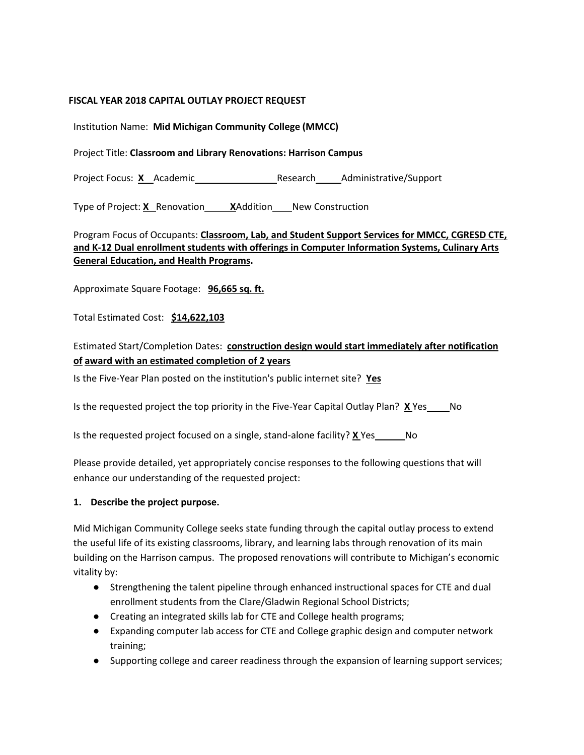#### **FISCAL YEAR 2018 CAPITAL OUTLAY PROJECT REQUEST**

Institution Name: **Mid Michigan Community College (MMCC)**

Project Title: **Classroom and Library Renovations: Harrison Campus**

Project Focus: X Academic Research Administrative/Support

Type of Project: **X** Renovation **XAddition** New Construction

Program Focus of Occupants: **Classroom, Lab, and Student Support Services for MMCC, CGRESD CTE, and K-12 Dual enrollment students with offerings in Computer Information Systems, Culinary Arts General Education, and Health Programs.**

Approximate Square Footage: **96,665 sq. ft.**

Total Estimated Cost: **\$14,622,103**

## Estimated Start/Completion Dates: **construction design would start immediately after notification of award with an estimated completion of 2 years**

Is the Five-Year Plan posted on the institution's public internet site? **Yes**

Is the requested project the top priority in the Five-Year Capital Outlay Plan? **X** Yes No

Is the requested project focused on a single, stand-alone facility? **X** Yes No

Please provide detailed, yet appropriately concise responses to the following questions that will enhance our understanding of the requested project:

#### **1. Describe the project purpose.**

Mid Michigan Community College seeks state funding through the capital outlay process to extend the useful life of its existing classrooms, library, and learning labs through renovation of its main building on the Harrison campus. The proposed renovations will contribute to Michigan's economic vitality by:

- Strengthening the talent pipeline through enhanced instructional spaces for CTE and dual enrollment students from the Clare/Gladwin Regional School Districts;
- Creating an integrated skills lab for CTE and College health programs;
- Expanding computer lab access for CTE and College graphic design and computer network training;
- Supporting college and career readiness through the expansion of learning support services;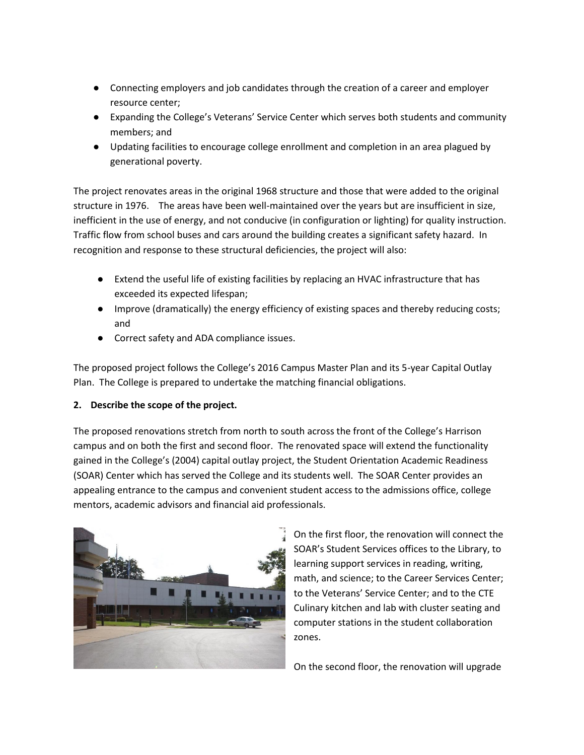- Connecting employers and job candidates through the creation of a career and employer resource center;
- Expanding the College's Veterans' Service Center which serves both students and community members; and
- Updating facilities to encourage college enrollment and completion in an area plagued by generational poverty.

The project renovates areas in the original 1968 structure and those that were added to the original structure in 1976. The areas have been well-maintained over the years but are insufficient in size, inefficient in the use of energy, and not conducive (in configuration or lighting) for quality instruction. Traffic flow from school buses and cars around the building creates a significant safety hazard. In recognition and response to these structural deficiencies, the project will also:

- Extend the useful life of existing facilities by replacing an HVAC infrastructure that has exceeded its expected lifespan;
- Improve (dramatically) the energy efficiency of existing spaces and thereby reducing costs; and
- Correct safety and ADA compliance issues.

The proposed project follows the College's 2016 Campus Master Plan and its 5-year Capital Outlay Plan. The College is prepared to undertake the matching financial obligations.

#### **2. Describe the scope of the project.**

The proposed renovations stretch from north to south across the front of the College's Harrison campus and on both the first and second floor. The renovated space will extend the functionality gained in the College's (2004) capital outlay project, the Student Orientation Academic Readiness (SOAR) Center which has served the College and its students well. The SOAR Center provides an appealing entrance to the campus and convenient student access to the admissions office, college mentors, academic advisors and financial aid professionals.



On the first floor, the renovation will connect the SOAR's Student Services offices to the Library, to learning support services in reading, writing, math, and science; to the Career Services Center; to the Veterans' Service Center; and to the CTE Culinary kitchen and lab with cluster seating and computer stations in the student collaboration zones.

On the second floor, the renovation will upgrade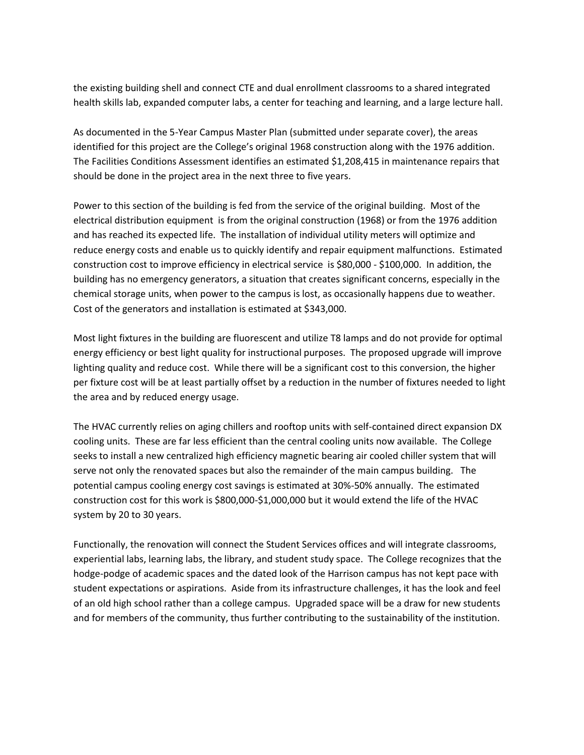the existing building shell and connect CTE and dual enrollment classrooms to a shared integrated health skills lab, expanded computer labs, a center for teaching and learning, and a large lecture hall.

As documented in the 5-Year Campus Master Plan (submitted under separate cover), the areas identified for this project are the College's original 1968 construction along with the 1976 addition. The Facilities Conditions Assessment identifies an estimated \$1,208,415 in maintenance repairs that should be done in the project area in the next three to five years.

Power to this section of the building is fed from the service of the original building. Most of the electrical distribution equipment is from the original construction (1968) or from the 1976 addition and has reached its expected life. The installation of individual utility meters will optimize and reduce energy costs and enable us to quickly identify and repair equipment malfunctions. Estimated construction cost to improve efficiency in electrical service is \$80,000 - \$100,000. In addition, the building has no emergency generators, a situation that creates significant concerns, especially in the chemical storage units, when power to the campus is lost, as occasionally happens due to weather. Cost of the generators and installation is estimated at \$343,000.

Most light fixtures in the building are fluorescent and utilize T8 lamps and do not provide for optimal energy efficiency or best light quality for instructional purposes. The proposed upgrade will improve lighting quality and reduce cost. While there will be a significant cost to this conversion, the higher per fixture cost will be at least partially offset by a reduction in the number of fixtures needed to light the area and by reduced energy usage.

The HVAC currently relies on aging chillers and rooftop units with self-contained direct expansion DX cooling units. These are far less efficient than the central cooling units now available. The College seeks to install a new centralized high efficiency magnetic bearing air cooled chiller system that will serve not only the renovated spaces but also the remainder of the main campus building. The potential campus cooling energy cost savings is estimated at 30%-50% annually. The estimated construction cost for this work is \$800,000-\$1,000,000 but it would extend the life of the HVAC system by 20 to 30 years.

Functionally, the renovation will connect the Student Services offices and will integrate classrooms, experiential labs, learning labs, the library, and student study space. The College recognizes that the hodge-podge of academic spaces and the dated look of the Harrison campus has not kept pace with student expectations or aspirations. Aside from its infrastructure challenges, it has the look and feel of an old high school rather than a college campus. Upgraded space will be a draw for new students and for members of the community, thus further contributing to the sustainability of the institution.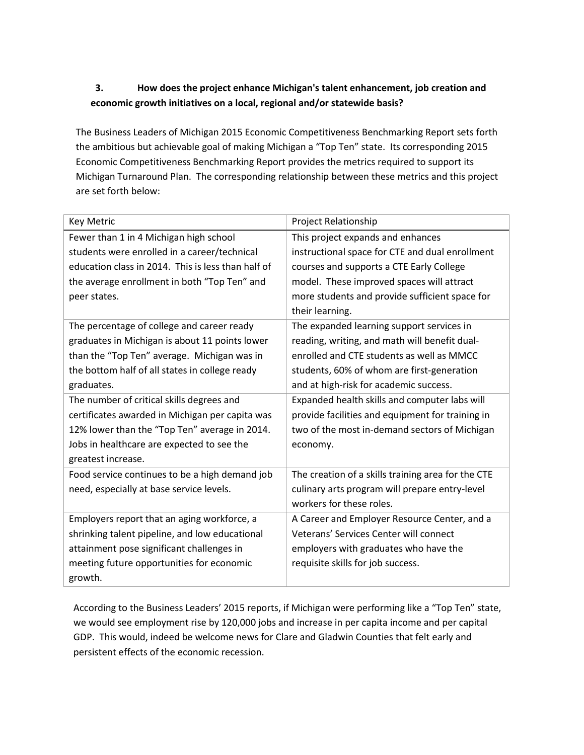# **3. How does the project enhance Michigan's talent enhancement, job creation and economic growth initiatives on a local, regional and/or statewide basis?**

The Business Leaders of Michigan 2015 Economic Competitiveness Benchmarking Report sets forth the ambitious but achievable goal of making Michigan a "Top Ten" state. Its corresponding 2015 Economic Competitiveness Benchmarking Report provides the metrics required to support its Michigan Turnaround Plan. The corresponding relationship between these metrics and this project are set forth below:

| <b>Key Metric</b>                                  | <b>Project Relationship</b>                        |  |  |
|----------------------------------------------------|----------------------------------------------------|--|--|
| Fewer than 1 in 4 Michigan high school             | This project expands and enhances                  |  |  |
| students were enrolled in a career/technical       | instructional space for CTE and dual enrollment    |  |  |
| education class in 2014. This is less than half of | courses and supports a CTE Early College           |  |  |
| the average enrollment in both "Top Ten" and       | model. These improved spaces will attract          |  |  |
| peer states.                                       | more students and provide sufficient space for     |  |  |
|                                                    | their learning.                                    |  |  |
| The percentage of college and career ready         | The expanded learning support services in          |  |  |
| graduates in Michigan is about 11 points lower     | reading, writing, and math will benefit dual-      |  |  |
| than the "Top Ten" average. Michigan was in        | enrolled and CTE students as well as MMCC          |  |  |
| the bottom half of all states in college ready     | students, 60% of whom are first-generation         |  |  |
| graduates.                                         | and at high-risk for academic success.             |  |  |
| The number of critical skills degrees and          | Expanded health skills and computer labs will      |  |  |
| certificates awarded in Michigan per capita was    | provide facilities and equipment for training in   |  |  |
| 12% lower than the "Top Ten" average in 2014.      | two of the most in-demand sectors of Michigan      |  |  |
| Jobs in healthcare are expected to see the         | economy.                                           |  |  |
| greatest increase.                                 |                                                    |  |  |
| Food service continues to be a high demand job     | The creation of a skills training area for the CTE |  |  |
| need, especially at base service levels.           | culinary arts program will prepare entry-level     |  |  |
|                                                    | workers for these roles.                           |  |  |
| Employers report that an aging workforce, a        | A Career and Employer Resource Center, and a       |  |  |
| shrinking talent pipeline, and low educational     | Veterans' Services Center will connect             |  |  |
| attainment pose significant challenges in          | employers with graduates who have the              |  |  |
| meeting future opportunities for economic          | requisite skills for job success.                  |  |  |
| growth.                                            |                                                    |  |  |

According to the Business Leaders' 2015 reports, if Michigan were performing like a "Top Ten" state, we would see employment rise by 120,000 jobs and increase in per capita income and per capital GDP. This would, indeed be welcome news for Clare and Gladwin Counties that felt early and persistent effects of the economic recession.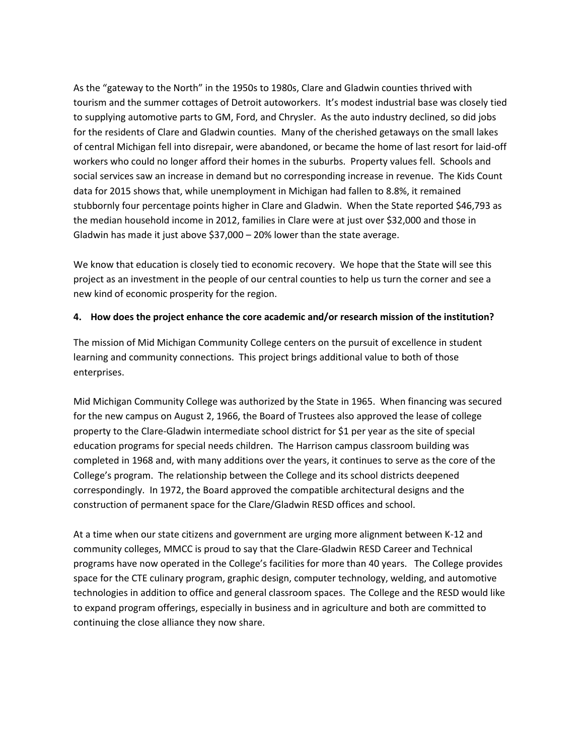As the "gateway to the North" in the 1950s to 1980s, Clare and Gladwin counties thrived with tourism and the summer cottages of Detroit autoworkers. It's modest industrial base was closely tied to supplying automotive parts to GM, Ford, and Chrysler. As the auto industry declined, so did jobs for the residents of Clare and Gladwin counties. Many of the cherished getaways on the small lakes of central Michigan fell into disrepair, were abandoned, or became the home of last resort for laid-off workers who could no longer afford their homes in the suburbs. Property values fell. Schools and social services saw an increase in demand but no corresponding increase in revenue. The Kids Count data for 2015 shows that, while unemployment in Michigan had fallen to 8.8%, it remained stubbornly four percentage points higher in Clare and Gladwin. When the State reported \$46,793 as the median household income in 2012, families in Clare were at just over \$32,000 and those in Gladwin has made it just above \$37,000 – 20% lower than the state average.

We know that education is closely tied to economic recovery. We hope that the State will see this project as an investment in the people of our central counties to help us turn the corner and see a new kind of economic prosperity for the region.

#### **4. How does the project enhance the core academic and/or research mission of the institution?**

The mission of Mid Michigan Community College centers on the pursuit of excellence in student learning and community connections. This project brings additional value to both of those enterprises.

Mid Michigan Community College was authorized by the State in 1965. When financing was secured for the new campus on August 2, 1966, the Board of Trustees also approved the lease of college property to the Clare-Gladwin intermediate school district for \$1 per year as the site of special education programs for special needs children. The Harrison campus classroom building was completed in 1968 and, with many additions over the years, it continues to serve as the core of the College's program. The relationship between the College and its school districts deepened correspondingly. In 1972, the Board approved the compatible architectural designs and the construction of permanent space for the Clare/Gladwin RESD offices and school.

At a time when our state citizens and government are urging more alignment between K-12 and community colleges, MMCC is proud to say that the Clare-Gladwin RESD Career and Technical programs have now operated in the College's facilities for more than 40 years. The College provides space for the CTE culinary program, graphic design, computer technology, welding, and automotive technologies in addition to office and general classroom spaces. The College and the RESD would like to expand program offerings, especially in business and in agriculture and both are committed to continuing the close alliance they now share.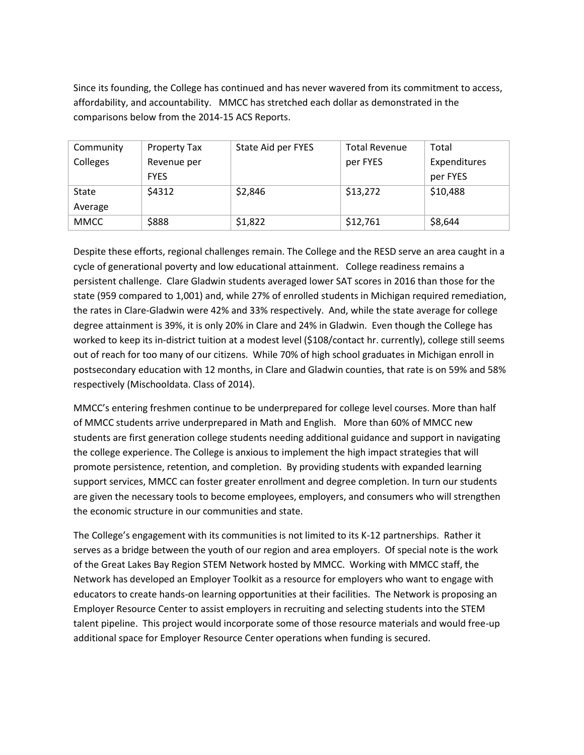Since its founding, the College has continued and has never wavered from its commitment to access, affordability, and accountability. MMCC has stretched each dollar as demonstrated in the comparisons below from the 2014-15 ACS Reports.

| Community   | <b>Property Tax</b> | State Aid per FYES | <b>Total Revenue</b> | Total        |
|-------------|---------------------|--------------------|----------------------|--------------|
| Colleges    | Revenue per         |                    | per FYES             | Expenditures |
|             | <b>FYES</b>         |                    |                      | per FYES     |
| State       | \$4312              | \$2,846            | \$13,272             | \$10,488     |
| Average     |                     |                    |                      |              |
| <b>MMCC</b> | \$888               | \$1,822            | \$12,761             | \$8,644      |

Despite these efforts, regional challenges remain. The College and the RESD serve an area caught in a cycle of generational poverty and low educational attainment. College readiness remains a persistent challenge. Clare Gladwin students averaged lower SAT scores in 2016 than those for the state (959 compared to 1,001) and, while 27% of enrolled students in Michigan required remediation, the rates in Clare-Gladwin were 42% and 33% respectively. And, while the state average for college degree attainment is 39%, it is only 20% in Clare and 24% in Gladwin. Even though the College has worked to keep its in-district tuition at a modest level (\$108/contact hr. currently), college still seems out of reach for too many of our citizens. While 70% of high school graduates in Michigan enroll in postsecondary education with 12 months, in Clare and Gladwin counties, that rate is on 59% and 58% respectively (Mischooldata. Class of 2014).

MMCC's entering freshmen continue to be underprepared for college level courses. More than half of MMCC students arrive underprepared in Math and English. More than 60% of MMCC new students are first generation college students needing additional guidance and support in navigating the college experience. The College is anxious to implement the high impact strategies that will promote persistence, retention, and completion. By providing students with expanded learning support services, MMCC can foster greater enrollment and degree completion. In turn our students are given the necessary tools to become employees, employers, and consumers who will strengthen the economic structure in our communities and state.

The College's engagement with its communities is not limited to its K-12 partnerships. Rather it serves as a bridge between the youth of our region and area employers. Of special note is the work of the Great Lakes Bay Region STEM Network hosted by MMCC. Working with MMCC staff, the Network has developed an Employer Toolkit as a resource for employers who want to engage with educators to create hands-on learning opportunities at their facilities. The Network is proposing an Employer Resource Center to assist employers in recruiting and selecting students into the STEM talent pipeline. This project would incorporate some of those resource materials and would free-up additional space for Employer Resource Center operations when funding is secured.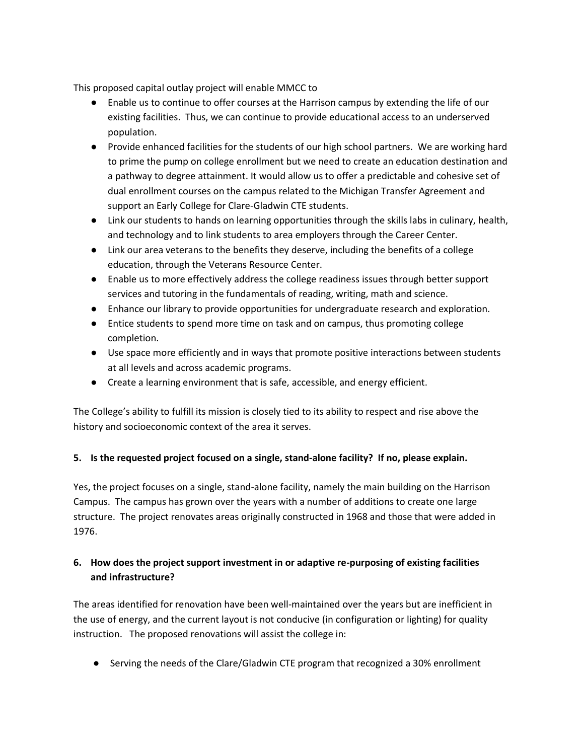This proposed capital outlay project will enable MMCC to

- Enable us to continue to offer courses at the Harrison campus by extending the life of our existing facilities. Thus, we can continue to provide educational access to an underserved population.
- Provide enhanced facilities for the students of our high school partners. We are working hard to prime the pump on college enrollment but we need to create an education destination and a pathway to degree attainment. It would allow us to offer a predictable and cohesive set of dual enrollment courses on the campus related to the Michigan Transfer Agreement and support an Early College for Clare-Gladwin CTE students.
- Link our students to hands on learning opportunities through the skills labs in culinary, health, and technology and to link students to area employers through the Career Center.
- Link our area veterans to the benefits they deserve, including the benefits of a college education, through the Veterans Resource Center.
- Enable us to more effectively address the college readiness issues through better support services and tutoring in the fundamentals of reading, writing, math and science.
- Enhance our library to provide opportunities for undergraduate research and exploration.
- Entice students to spend more time on task and on campus, thus promoting college completion.
- Use space more efficiently and in ways that promote positive interactions between students at all levels and across academic programs.
- Create a learning environment that is safe, accessible, and energy efficient.

The College's ability to fulfill its mission is closely tied to its ability to respect and rise above the history and socioeconomic context of the area it serves.

### **5. Is the requested project focused on a single, stand-alone facility? If no, please explain.**

Yes, the project focuses on a single, stand-alone facility, namely the main building on the Harrison Campus. The campus has grown over the years with a number of additions to create one large structure. The project renovates areas originally constructed in 1968 and those that were added in 1976.

### **6. How does the project support investment in or adaptive re-purposing of existing facilities and infrastructure?**

The areas identified for renovation have been well-maintained over the years but are inefficient in the use of energy, and the current layout is not conducive (in configuration or lighting) for quality instruction. The proposed renovations will assist the college in:

● Serving the needs of the Clare/Gladwin CTE program that recognized a 30% enrollment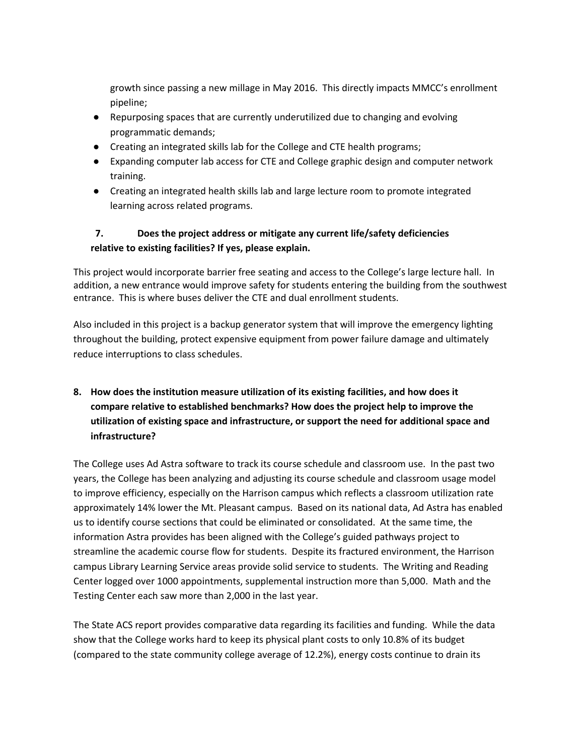growth since passing a new millage in May 2016. This directly impacts MMCC's enrollment pipeline;

- Repurposing spaces that are currently underutilized due to changing and evolving programmatic demands;
- Creating an integrated skills lab for the College and CTE health programs;
- Expanding computer lab access for CTE and College graphic design and computer network training.
- Creating an integrated health skills lab and large lecture room to promote integrated learning across related programs.

# **7. Does the project address or mitigate any current life/safety deficiencies relative to existing facilities? If yes, please explain.**

This project would incorporate barrier free seating and access to the College's large lecture hall. In addition, a new entrance would improve safety for students entering the building from the southwest entrance. This is where buses deliver the CTE and dual enrollment students.

Also included in this project is a backup generator system that will improve the emergency lighting throughout the building, protect expensive equipment from power failure damage and ultimately reduce interruptions to class schedules.

# **8. How does the institution measure utilization of its existing facilities, and how does it compare relative to established benchmarks? How does the project help to improve the utilization of existing space and infrastructure, or support the need for additional space and infrastructure?**

The College uses Ad Astra software to track its course schedule and classroom use. In the past two years, the College has been analyzing and adjusting its course schedule and classroom usage model to improve efficiency, especially on the Harrison campus which reflects a classroom utilization rate approximately 14% lower the Mt. Pleasant campus. Based on its national data, Ad Astra has enabled us to identify course sections that could be eliminated or consolidated. At the same time, the information Astra provides has been aligned with the College's guided pathways project to streamline the academic course flow for students. Despite its fractured environment, the Harrison campus Library Learning Service areas provide solid service to students. The Writing and Reading Center logged over 1000 appointments, supplemental instruction more than 5,000. Math and the Testing Center each saw more than 2,000 in the last year.

The State ACS report provides comparative data regarding its facilities and funding. While the data show that the College works hard to keep its physical plant costs to only 10.8% of its budget (compared to the state community college average of 12.2%), energy costs continue to drain its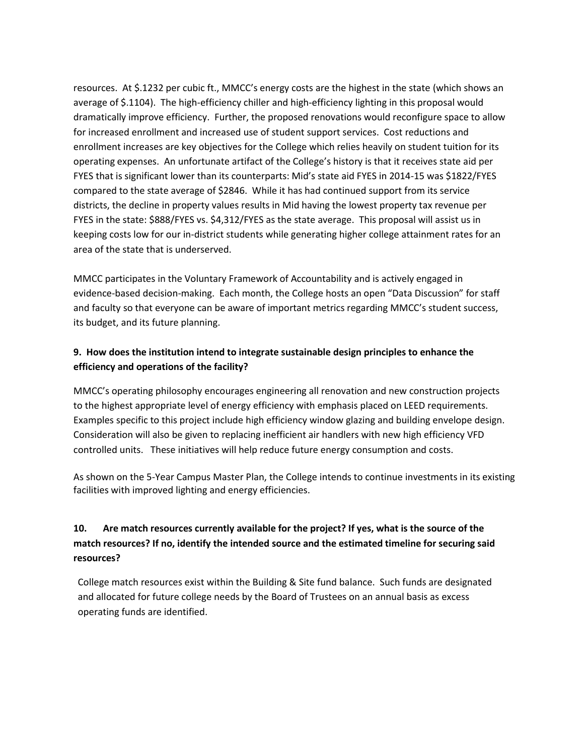resources. At \$.1232 per cubic ft., MMCC's energy costs are the highest in the state (which shows an average of \$.1104). The high-efficiency chiller and high-efficiency lighting in this proposal would dramatically improve efficiency. Further, the proposed renovations would reconfigure space to allow for increased enrollment and increased use of student support services. Cost reductions and enrollment increases are key objectives for the College which relies heavily on student tuition for its operating expenses. An unfortunate artifact of the College's history is that it receives state aid per FYES that is significant lower than its counterparts: Mid's state aid FYES in 2014-15 was \$1822/FYES compared to the state average of \$2846. While it has had continued support from its service districts, the decline in property values results in Mid having the lowest property tax revenue per FYES in the state: \$888/FYES vs. \$4,312/FYES as the state average. This proposal will assist us in keeping costs low for our in-district students while generating higher college attainment rates for an area of the state that is underserved.

MMCC participates in the Voluntary Framework of Accountability and is actively engaged in evidence-based decision-making. Each month, the College hosts an open "Data Discussion" for staff and faculty so that everyone can be aware of important metrics regarding MMCC's student success, its budget, and its future planning.

## **9. How does the institution intend to integrate sustainable design principles to enhance the efficiency and operations of the facility?**

MMCC's operating philosophy encourages engineering all renovation and new construction projects to the highest appropriate level of energy efficiency with emphasis placed on LEED requirements. Examples specific to this project include high efficiency window glazing and building envelope design. Consideration will also be given to replacing inefficient air handlers with new high efficiency VFD controlled units. These initiatives will help reduce future energy consumption and costs.

As shown on the 5-Year Campus Master Plan, the College intends to continue investments in its existing facilities with improved lighting and energy efficiencies.

# **10. Are match resources currently available for the project? If yes, what is the source of the match resources? If no, identify the intended source and the estimated timeline for securing said resources?**

College match resources exist within the Building & Site fund balance. Such funds are designated and allocated for future college needs by the Board of Trustees on an annual basis as excess operating funds are identified.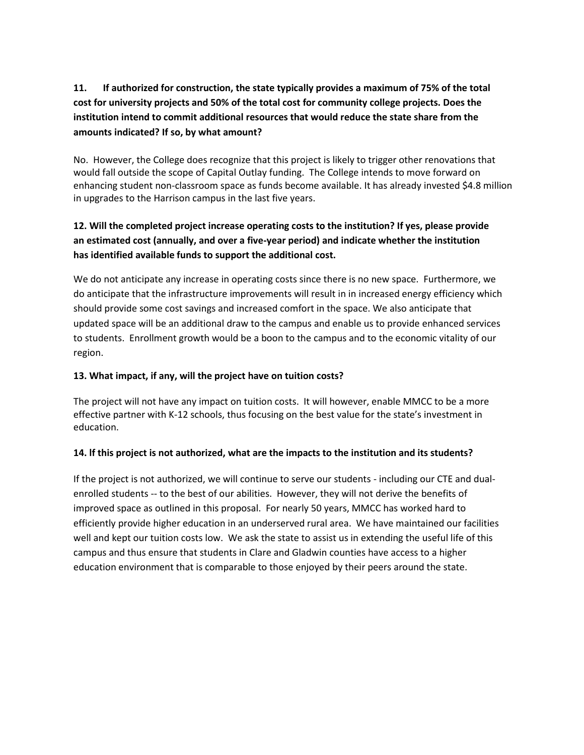# **11. If authorized for construction, the state typically provides a maximum of 75% of the total cost for university projects and 50% of the total cost for community college projects. Does the institution intend to commit additional resources that would reduce the state share from the amounts indicated? If so, by what amount?**

No. However, the College does recognize that this project is likely to trigger other renovations that would fall outside the scope of Capital Outlay funding. The College intends to move forward on enhancing student non-classroom space as funds become available. It has already invested \$4.8 million in upgrades to the Harrison campus in the last five years.

## **12. Will the completed project increase operating costs to the institution? If yes, please provide an estimated cost (annually, and over a five-year period) and indicate whether the institution has identified available funds to support the additional cost.**

We do not anticipate any increase in operating costs since there is no new space. Furthermore, we do anticipate that the infrastructure improvements will result in in increased energy efficiency which should provide some cost savings and increased comfort in the space. We also anticipate that updated space will be an additional draw to the campus and enable us to provide enhanced services to students. Enrollment growth would be a boon to the campus and to the economic vitality of our region.

#### **13. What impact, if any, will the project have on tuition costs?**

The project will not have any impact on tuition costs. It will however, enable MMCC to be a more effective partner with K-12 schools, thus focusing on the best value for the state's investment in education.

#### **14. lf this project is not authorized, what are the impacts to the institution and its students?**

If the project is not authorized, we will continue to serve our students - including our CTE and dualenrolled students -- to the best of our abilities. However, they will not derive the benefits of improved space as outlined in this proposal. For nearly 50 years, MMCC has worked hard to efficiently provide higher education in an underserved rural area. We have maintained our facilities well and kept our tuition costs low. We ask the state to assist us in extending the useful life of this campus and thus ensure that students in Clare and Gladwin counties have access to a higher education environment that is comparable to those enjoyed by their peers around the state.